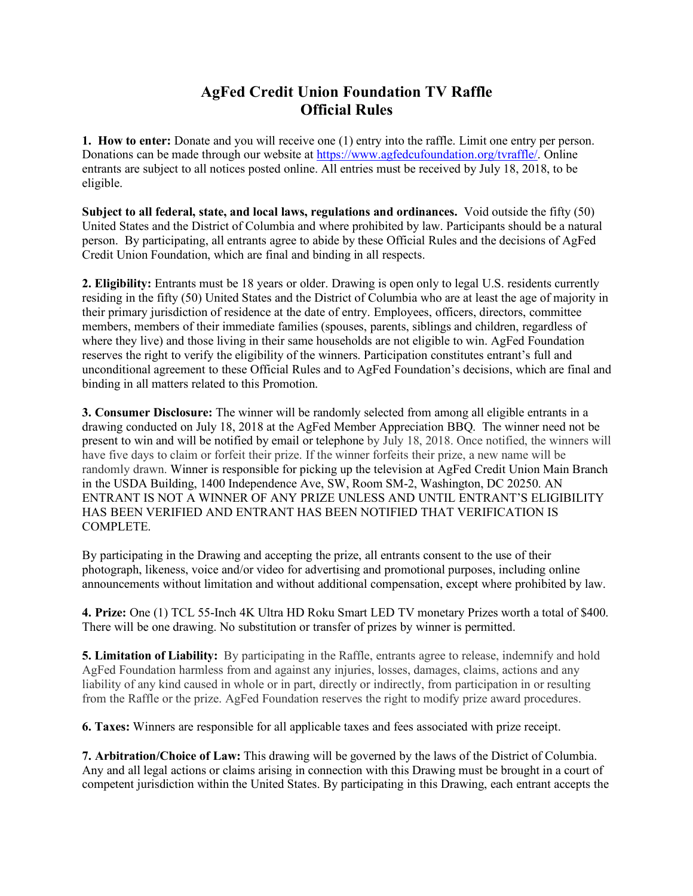## **AgFed Credit Union Foundation TV Raffle Official Rules**

**1. How to enter:** Donate and you will receive one (1) entry into the raffle. Limit one entry per person. Donations can be made through our website at https://www.agfedcufoundation.org/tvraffle/. Online entrants are subject to all notices posted online. All entries must be received by July 18, 2018, to be eligible.

**Subject to all federal, state, and local laws, regulations and ordinances.** Void outside the fifty (50) United States and the District of Columbia and where prohibited by law. Participants should be a natural person. By participating, all entrants agree to abide by these Official Rules and the decisions of AgFed Credit Union Foundation, which are final and binding in all respects.

**2. Eligibility:** Entrants must be 18 years or older. Drawing is open only to legal U.S. residents currently residing in the fifty (50) United States and the District of Columbia who are at least the age of majority in their primary jurisdiction of residence at the date of entry. Employees, officers, directors, committee members, members of their immediate families (spouses, parents, siblings and children, regardless of where they live) and those living in their same households are not eligible to win. AgFed Foundation reserves the right to verify the eligibility of the winners. Participation constitutes entrant's full and unconditional agreement to these Official Rules and to AgFed Foundation's decisions, which are final and binding in all matters related to this Promotion.

**3. Consumer Disclosure:** The winner will be randomly selected from among all eligible entrants in a drawing conducted on July 18, 2018 at the AgFed Member Appreciation BBQ. The winner need not be present to win and will be notified by email or telephone by July 18, 2018. Once notified, the winners will have five days to claim or forfeit their prize. If the winner forfeits their prize, a new name will be randomly drawn. Winner is responsible for picking up the television at AgFed Credit Union Main Branch in the USDA Building, 1400 Independence Ave, SW, Room SM-2, Washington, DC 20250. AN ENTRANT IS NOT A WINNER OF ANY PRIZE UNLESS AND UNTIL ENTRANT'S ELIGIBILITY HAS BEEN VERIFIED AND ENTRANT HAS BEEN NOTIFIED THAT VERIFICATION IS COMPLETE.

By participating in the Drawing and accepting the prize, all entrants consent to the use of their photograph, likeness, voice and/or video for advertising and promotional purposes, including online announcements without limitation and without additional compensation, except where prohibited by law.

**4. Prize:** One (1) TCL 55-Inch 4K Ultra HD Roku Smart LED TV monetary Prizes worth a total of \$400. There will be one drawing. No substitution or transfer of prizes by winner is permitted.

**5. Limitation of Liability:** By participating in the Raffle, entrants agree to release, indemnify and hold AgFed Foundation harmless from and against any injuries, losses, damages, claims, actions and any liability of any kind caused in whole or in part, directly or indirectly, from participation in or resulting from the Raffle or the prize. AgFed Foundation reserves the right to modify prize award procedures.

**6. Taxes:** Winners are responsible for all applicable taxes and fees associated with prize receipt.

**7. Arbitration/Choice of Law:** This drawing will be governed by the laws of the District of Columbia. Any and all legal actions or claims arising in connection with this Drawing must be brought in a court of competent jurisdiction within the United States. By participating in this Drawing, each entrant accepts the